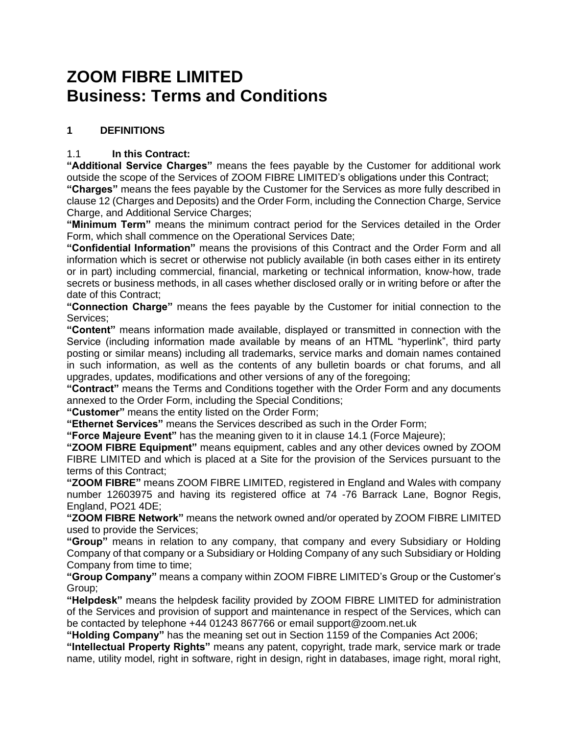# **ZOOM FIBRE LIMITED Business: Terms and Conditions**

## **1 DEFINITIONS**

## 1.1 **In this Contract:**

**"Additional Service Charges"** means the fees payable by the Customer for additional work outside the scope of the Services of ZOOM FIBRE LIMITED's obligations under this Contract;

**"Charges"** means the fees payable by the Customer for the Services as more fully described in clause 12 (Charges and Deposits) and the Order Form, including the Connection Charge, Service Charge, and Additional Service Charges;

**"Minimum Term"** means the minimum contract period for the Services detailed in the Order Form, which shall commence on the Operational Services Date;

**"Confidential Information"** means the provisions of this Contract and the Order Form and all information which is secret or otherwise not publicly available (in both cases either in its entirety or in part) including commercial, financial, marketing or technical information, know-how, trade secrets or business methods, in all cases whether disclosed orally or in writing before or after the date of this Contract;

**"Connection Charge"** means the fees payable by the Customer for initial connection to the Services;

**"Content"** means information made available, displayed or transmitted in connection with the Service (including information made available by means of an HTML "hyperlink", third party posting or similar means) including all trademarks, service marks and domain names contained in such information, as well as the contents of any bulletin boards or chat forums, and all upgrades, updates, modifications and other versions of any of the foregoing;

**"Contract"** means the Terms and Conditions together with the Order Form and any documents annexed to the Order Form, including the Special Conditions;

**"Customer"** means the entity listed on the Order Form;

**"Ethernet Services"** means the Services described as such in the Order Form;

**"Force Majeure Event"** has the meaning given to it in clause 14.1 (Force Majeure);

**"ZOOM FIBRE Equipment"** means equipment, cables and any other devices owned by ZOOM FIBRE LIMITED and which is placed at a Site for the provision of the Services pursuant to the terms of this Contract;

**"ZOOM FIBRE"** means ZOOM FIBRE LIMITED, registered in England and Wales with company number 12603975 and having its registered office at 74 -76 Barrack Lane, Bognor Regis, England, PO21 4DE;

**"ZOOM FIBRE Network"** means the network owned and/or operated by ZOOM FIBRE LIMITED used to provide the Services;

**"Group"** means in relation to any company, that company and every Subsidiary or Holding Company of that company or a Subsidiary or Holding Company of any such Subsidiary or Holding Company from time to time;

**"Group Company"** means a company within ZOOM FIBRE LIMITED's Group or the Customer's Group;

**"Helpdesk"** means the helpdesk facility provided by ZOOM FIBRE LIMITED for administration of the Services and provision of support and maintenance in respect of the Services, which can be contacted by telephone +44 01243 867766 or email support@zoom.net.uk

**"Holding Company"** has the meaning set out in Section 1159 of the Companies Act 2006;

**"Intellectual Property Rights"** means any patent, copyright, trade mark, service mark or trade name, utility model, right in software, right in design, right in databases, image right, moral right,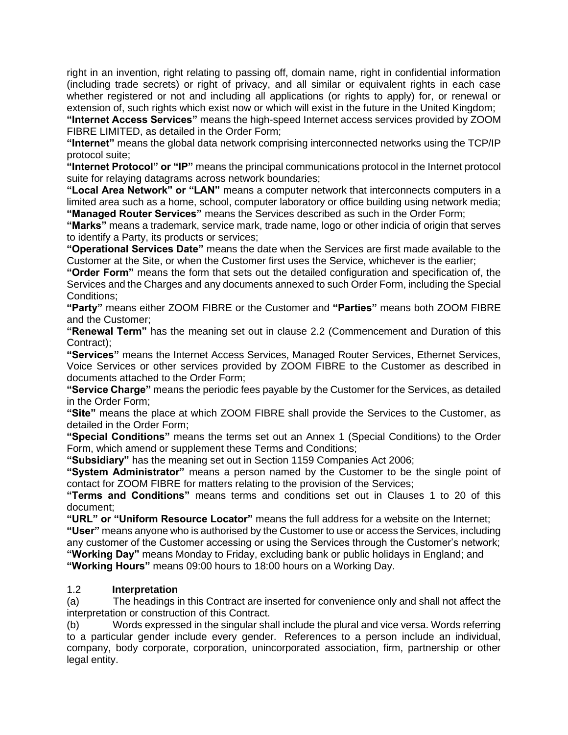right in an invention, right relating to passing off, domain name, right in confidential information (including trade secrets) or right of privacy, and all similar or equivalent rights in each case whether registered or not and including all applications (or rights to apply) for, or renewal or extension of, such rights which exist now or which will exist in the future in the United Kingdom;

**"Internet Access Services"** means the high-speed Internet access services provided by ZOOM FIBRE LIMITED, as detailed in the Order Form;

**"Internet"** means the global data network comprising interconnected networks using the TCP/IP protocol suite;

**"Internet Protocol" or "IP"** means the principal communications protocol in the Internet protocol suite for relaying datagrams across network boundaries;

**"Local Area Network" or "LAN"** means a computer network that interconnects computers in a limited area such as a home, school, computer laboratory or office building using network media; **"Managed Router Services"** means the Services described as such in the Order Form;

**"Marks"** means a trademark, service mark, trade name, logo or other indicia of origin that serves to identify a Party, its products or services;

**"Operational Services Date"** means the date when the Services are first made available to the Customer at the Site, or when the Customer first uses the Service, whichever is the earlier;

**"Order Form"** means the form that sets out the detailed configuration and specification of, the Services and the Charges and any documents annexed to such Order Form, including the Special Conditions;

**"Party"** means either ZOOM FIBRE or the Customer and **"Parties"** means both ZOOM FIBRE and the Customer;

**"Renewal Term"** has the meaning set out in clause 2.2 (Commencement and Duration of this Contract);

**"Services"** means the Internet Access Services, Managed Router Services, Ethernet Services, Voice Services or other services provided by ZOOM FIBRE to the Customer as described in documents attached to the Order Form;

**"Service Charge"** means the periodic fees payable by the Customer for the Services, as detailed in the Order Form;

**"Site"** means the place at which ZOOM FIBRE shall provide the Services to the Customer, as detailed in the Order Form;

**"Special Conditions"** means the terms set out an Annex 1 (Special Conditions) to the Order Form, which amend or supplement these Terms and Conditions;

**"Subsidiary"** has the meaning set out in Section 1159 Companies Act 2006;

**"System Administrator"** means a person named by the Customer to be the single point of contact for ZOOM FIBRE for matters relating to the provision of the Services;

**"Terms and Conditions"** means terms and conditions set out in Clauses 1 to 20 of this document;

**"URL" or "Uniform Resource Locator"** means the full address for a website on the Internet;

**"User"** means anyone who is authorised by the Customer to use or access the Services, including any customer of the Customer accessing or using the Services through the Customer's network; **"Working Day"** means Monday to Friday, excluding bank or public holidays in England; and **"Working Hours"** means 09:00 hours to 18:00 hours on a Working Day.

#### 1.2 **Interpretation**

(a) The headings in this Contract are inserted for convenience only and shall not affect the interpretation or construction of this Contract.

(b) Words expressed in the singular shall include the plural and vice versa. Words referring to a particular gender include every gender. References to a person include an individual, company, body corporate, corporation, unincorporated association, firm, partnership or other legal entity.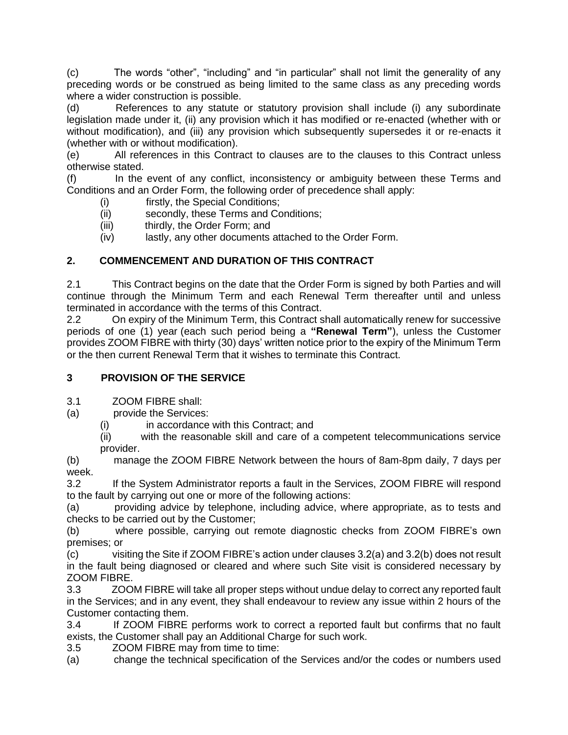(c) The words "other", "including" and "in particular" shall not limit the generality of any preceding words or be construed as being limited to the same class as any preceding words where a wider construction is possible.

(d) References to any statute or statutory provision shall include (i) any subordinate legislation made under it, (ii) any provision which it has modified or re-enacted (whether with or without modification), and (iii) any provision which subsequently supersedes it or re-enacts it (whether with or without modification).

(e) All references in this Contract to clauses are to the clauses to this Contract unless otherwise stated.

(f) In the event of any conflict, inconsistency or ambiguity between these Terms and Conditions and an Order Form, the following order of precedence shall apply:

(i) firstly, the Special Conditions;

- (ii) secondly, these Terms and Conditions;
- (iii) thirdly, the Order Form; and
- (iv) lastly, any other documents attached to the Order Form.

# **2. COMMENCEMENT AND DURATION OF THIS CONTRACT**

2.1 This Contract begins on the date that the Order Form is signed by both Parties and will continue through the Minimum Term and each Renewal Term thereafter until and unless terminated in accordance with the terms of this Contract.

2.2 On expiry of the Minimum Term, this Contract shall automatically renew for successive periods of one (1) year (each such period being a **"Renewal Term"**), unless the Customer provides ZOOM FIBRE with thirty (30) days' written notice prior to the expiry of the Minimum Term or the then current Renewal Term that it wishes to terminate this Contract.

# **3 PROVISION OF THE SERVICE**

3.1 ZOOM FIBRE shall:

(a) provide the Services:

(i) in accordance with this Contract; and

(ii) with the reasonable skill and care of a competent telecommunications service provider.

(b) manage the ZOOM FIBRE Network between the hours of 8am-8pm daily, 7 days per week.

3.2 If the System Administrator reports a fault in the Services, ZOOM FIBRE will respond to the fault by carrying out one or more of the following actions:

(a) providing advice by telephone, including advice, where appropriate, as to tests and checks to be carried out by the Customer;

(b) where possible, carrying out remote diagnostic checks from ZOOM FIBRE's own premises; or

(c) visiting the Site if ZOOM FIBRE's action under clauses 3.2(a) and 3.2(b) does not result in the fault being diagnosed or cleared and where such Site visit is considered necessary by ZOOM FIBRE.

3.3 ZOOM FIBRE will take all proper steps without undue delay to correct any reported fault in the Services; and in any event, they shall endeavour to review any issue within 2 hours of the Customer contacting them.

3.4 If ZOOM FIBRE performs work to correct a reported fault but confirms that no fault exists, the Customer shall pay an Additional Charge for such work.

3.5 ZOOM FIBRE may from time to time:

(a) change the technical specification of the Services and/or the codes or numbers used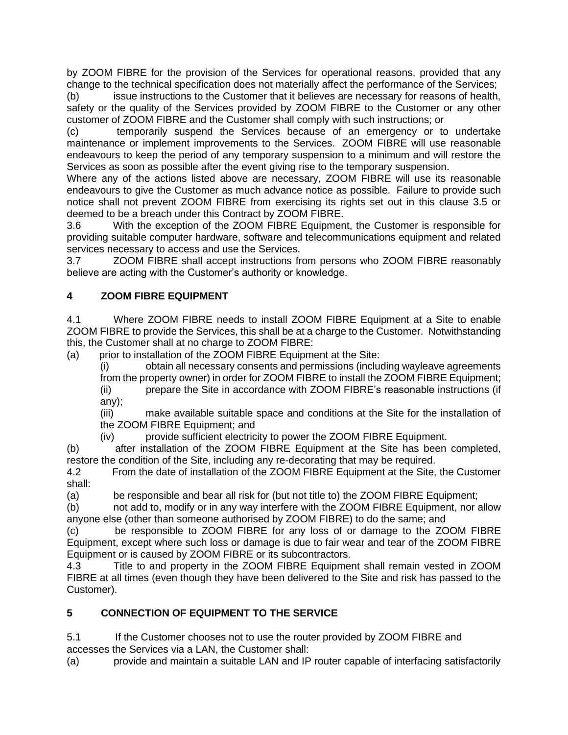by ZOOM FIBRE for the provision of the Services for operational reasons, provided that any change to the technical specification does not materially affect the performance of the Services;

(b) issue instructions to the Customer that it believes are necessary for reasons of health, safety or the quality of the Services provided by ZOOM FIBRE to the Customer or any other customer of ZOOM FIBRE and the Customer shall comply with such instructions; or

(c) temporarily suspend the Services because of an emergency or to undertake maintenance or implement improvements to the Services. ZOOM FIBRE will use reasonable endeavours to keep the period of any temporary suspension to a minimum and will restore the Services as soon as possible after the event giving rise to the temporary suspension.

Where any of the actions listed above are necessary, ZOOM FIBRE will use its reasonable endeavours to give the Customer as much advance notice as possible. Failure to provide such notice shall not prevent ZOOM FIBRE from exercising its rights set out in this clause 3.5 or deemed to be a breach under this Contract by ZOOM FIBRE.

3.6 With the exception of the ZOOM FIBRE Equipment, the Customer is responsible for providing suitable computer hardware, software and telecommunications equipment and related services necessary to access and use the Services.

3.7 ZOOM FIBRE shall accept instructions from persons who ZOOM FIBRE reasonably believe are acting with the Customer's authority or knowledge.

## **4 ZOOM FIBRE EQUIPMENT**

4.1 Where ZOOM FIBRE needs to install ZOOM FIBRE Equipment at a Site to enable ZOOM FIBRE to provide the Services, this shall be at a charge to the Customer. Notwithstanding this, the Customer shall at no charge to ZOOM FIBRE:

(a) prior to installation of the ZOOM FIBRE Equipment at the Site:

(i) obtain all necessary consents and permissions (including wayleave agreements from the property owner) in order for ZOOM FIBRE to install the ZOOM FIBRE Equipment;

(ii) prepare the Site in accordance with ZOOM FIBRE's reasonable instructions (if any);

(iii) make available suitable space and conditions at the Site for the installation of the ZOOM FIBRE Equipment; and

(iv) provide sufficient electricity to power the ZOOM FIBRE Equipment.

(b) after installation of the ZOOM FIBRE Equipment at the Site has been completed, restore the condition of the Site, including any re-decorating that may be required.

4.2 From the date of installation of the ZOOM FIBRE Equipment at the Site, the Customer shall:

(a) be responsible and bear all risk for (but not title to) the ZOOM FIBRE Equipment;

(b) not add to, modify or in any way interfere with the ZOOM FIBRE Equipment, nor allow anyone else (other than someone authorised by ZOOM FIBRE) to do the same; and

(c) be responsible to ZOOM FIBRE for any loss of or damage to the ZOOM FIBRE Equipment, except where such loss or damage is due to fair wear and tear of the ZOOM FIBRE Equipment or is caused by ZOOM FIBRE or its subcontractors.

4.3 Title to and property in the ZOOM FIBRE Equipment shall remain vested in ZOOM FIBRE at all times (even though they have been delivered to the Site and risk has passed to the Customer).

# **5 CONNECTION OF EQUIPMENT TO THE SERVICE**

5.1 If the Customer chooses not to use the router provided by ZOOM FIBRE and accesses the Services via a LAN, the Customer shall:

(a) provide and maintain a suitable LAN and IP router capable of interfacing satisfactorily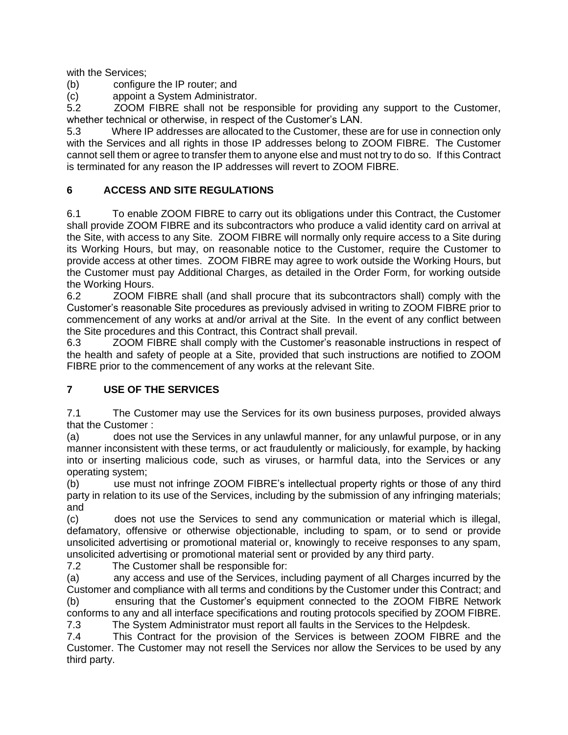with the Services;

(b) configure the IP router; and

(c) appoint a System Administrator.

5.2 ZOOM FIBRE shall not be responsible for providing any support to the Customer, whether technical or otherwise, in respect of the Customer's LAN.

5.3 Where IP addresses are allocated to the Customer, these are for use in connection only with the Services and all rights in those IP addresses belong to ZOOM FIBRE. The Customer cannot sell them or agree to transfer them to anyone else and must not try to do so. If this Contract is terminated for any reason the IP addresses will revert to ZOOM FIBRE.

## **6 ACCESS AND SITE REGULATIONS**

6.1 To enable ZOOM FIBRE to carry out its obligations under this Contract, the Customer shall provide ZOOM FIBRE and its subcontractors who produce a valid identity card on arrival at the Site, with access to any Site. ZOOM FIBRE will normally only require access to a Site during its Working Hours, but may, on reasonable notice to the Customer, require the Customer to provide access at other times. ZOOM FIBRE may agree to work outside the Working Hours, but the Customer must pay Additional Charges, as detailed in the Order Form, for working outside the Working Hours.

6.2 ZOOM FIBRE shall (and shall procure that its subcontractors shall) comply with the Customer's reasonable Site procedures as previously advised in writing to ZOOM FIBRE prior to commencement of any works at and/or arrival at the Site. In the event of any conflict between the Site procedures and this Contract, this Contract shall prevail.

6.3 ZOOM FIBRE shall comply with the Customer's reasonable instructions in respect of the health and safety of people at a Site, provided that such instructions are notified to ZOOM FIBRE prior to the commencement of any works at the relevant Site.

## **7 USE OF THE SERVICES**

7.1 The Customer may use the Services for its own business purposes, provided always that the Customer :

(a) does not use the Services in any unlawful manner, for any unlawful purpose, or in any manner inconsistent with these terms, or act fraudulently or maliciously, for example, by hacking into or inserting malicious code, such as viruses, or harmful data, into the Services or any operating system;

(b) use must not infringe ZOOM FIBRE's intellectual property rights or those of any third party in relation to its use of the Services, including by the submission of any infringing materials; and

(c) does not use the Services to send any communication or material which is illegal, defamatory, offensive or otherwise objectionable, including to spam, or to send or provide unsolicited advertising or promotional material or, knowingly to receive responses to any spam, unsolicited advertising or promotional material sent or provided by any third party.

7.2 The Customer shall be responsible for:

(a) any access and use of the Services, including payment of all Charges incurred by the Customer and compliance with all terms and conditions by the Customer under this Contract; and

(b) ensuring that the Customer's equipment connected to the ZOOM FIBRE Network conforms to any and all interface specifications and routing protocols specified by ZOOM FIBRE.

7.3 The System Administrator must report all faults in the Services to the Helpdesk.

7.4 This Contract for the provision of the Services is between ZOOM FIBRE and the Customer. The Customer may not resell the Services nor allow the Services to be used by any third party.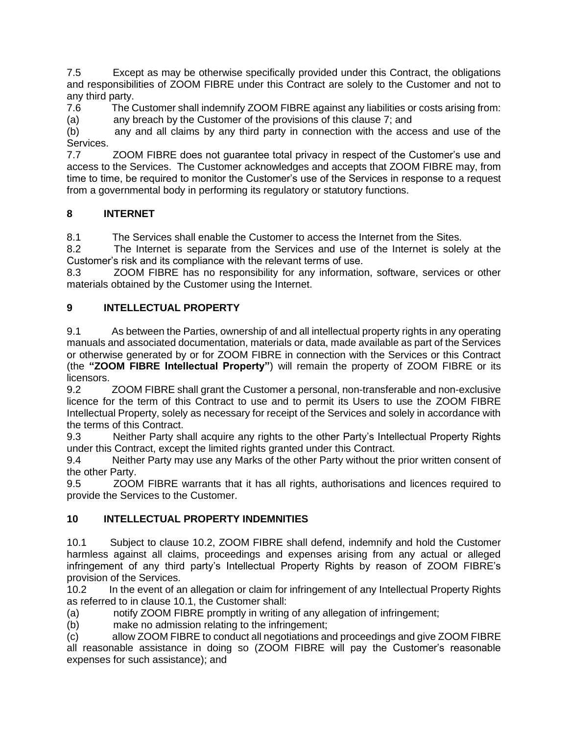7.5 Except as may be otherwise specifically provided under this Contract, the obligations and responsibilities of ZOOM FIBRE under this Contract are solely to the Customer and not to any third party.

7.6 The Customer shall indemnify ZOOM FIBRE against any liabilities or costs arising from: (a) any breach by the Customer of the provisions of this clause 7; and

(b) any and all claims by any third party in connection with the access and use of the Services.

7.7 ZOOM FIBRE does not guarantee total privacy in respect of the Customer's use and access to the Services. The Customer acknowledges and accepts that ZOOM FIBRE may, from time to time, be required to monitor the Customer's use of the Services in response to a request from a governmental body in performing its regulatory or statutory functions.

## **8 INTERNET**

8.1 The Services shall enable the Customer to access the Internet from the Sites.

8.2 The Internet is separate from the Services and use of the Internet is solely at the Customer's risk and its compliance with the relevant terms of use.

8.3 ZOOM FIBRE has no responsibility for any information, software, services or other materials obtained by the Customer using the Internet.

## **9 INTELLECTUAL PROPERTY**

9.1 As between the Parties, ownership of and all intellectual property rights in any operating manuals and associated documentation, materials or data, made available as part of the Services or otherwise generated by or for ZOOM FIBRE in connection with the Services or this Contract (the **"ZOOM FIBRE Intellectual Property"**) will remain the property of ZOOM FIBRE or its licensors.

9.2 ZOOM FIBRE shall grant the Customer a personal, non-transferable and non-exclusive licence for the term of this Contract to use and to permit its Users to use the ZOOM FIBRE Intellectual Property, solely as necessary for receipt of the Services and solely in accordance with the terms of this Contract.

9.3 Neither Party shall acquire any rights to the other Party's Intellectual Property Rights under this Contract, except the limited rights granted under this Contract.

9.4 Neither Party may use any Marks of the other Party without the prior written consent of the other Party.

9.5 ZOOM FIBRE warrants that it has all rights, authorisations and licences required to provide the Services to the Customer.

## **10 INTELLECTUAL PROPERTY INDEMNITIES**

10.1 Subject to clause 10.2, ZOOM FIBRE shall defend, indemnify and hold the Customer harmless against all claims, proceedings and expenses arising from any actual or alleged infringement of any third party's Intellectual Property Rights by reason of ZOOM FIBRE's provision of the Services.

10.2 In the event of an allegation or claim for infringement of any Intellectual Property Rights as referred to in clause 10.1, the Customer shall:

(a) notify ZOOM FIBRE promptly in writing of any allegation of infringement;

(b) make no admission relating to the infringement;

(c) allow ZOOM FIBRE to conduct all negotiations and proceedings and give ZOOM FIBRE all reasonable assistance in doing so (ZOOM FIBRE will pay the Customer's reasonable expenses for such assistance); and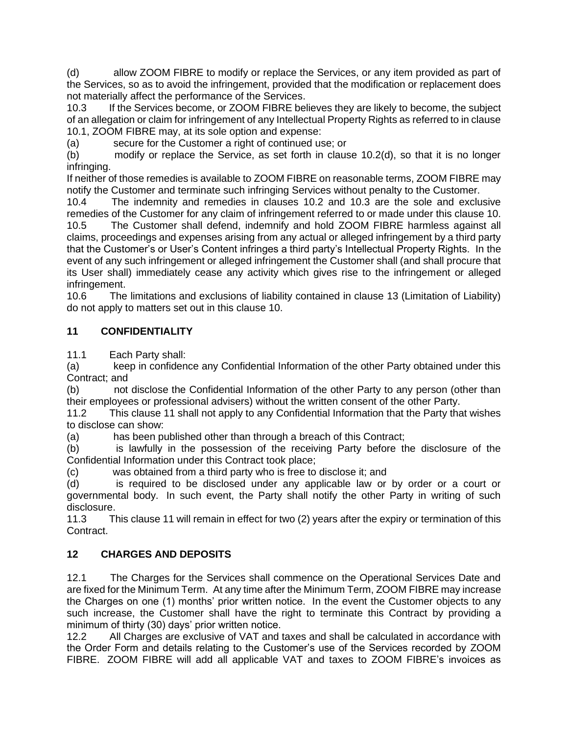(d) allow ZOOM FIBRE to modify or replace the Services, or any item provided as part of the Services, so as to avoid the infringement, provided that the modification or replacement does not materially affect the performance of the Services.

10.3 If the Services become, or ZOOM FIBRE believes they are likely to become, the subject of an allegation or claim for infringement of any Intellectual Property Rights as referred to in clause 10.1, ZOOM FIBRE may, at its sole option and expense:

(a) secure for the Customer a right of continued use; or

(b) modify or replace the Service, as set forth in clause 10.2(d), so that it is no longer infringing.

If neither of those remedies is available to ZOOM FIBRE on reasonable terms, ZOOM FIBRE may notify the Customer and terminate such infringing Services without penalty to the Customer.

10.4 The indemnity and remedies in clauses 10.2 and 10.3 are the sole and exclusive remedies of the Customer for any claim of infringement referred to or made under this clause 10. 10.5 The Customer shall defend, indemnify and hold ZOOM FIBRE harmless against all claims, proceedings and expenses arising from any actual or alleged infringement by a third party that the Customer's or User's Content infringes a third party's Intellectual Property Rights. In the event of any such infringement or alleged infringement the Customer shall (and shall procure that its User shall) immediately cease any activity which gives rise to the infringement or alleged infringement.

10.6 The limitations and exclusions of liability contained in clause 13 (Limitation of Liability) do not apply to matters set out in this clause 10.

## **11 CONFIDENTIALITY**

11.1 Each Party shall:

(a) keep in confidence any Confidential Information of the other Party obtained under this Contract; and

(b) not disclose the Confidential Information of the other Party to any person (other than their employees or professional advisers) without the written consent of the other Party.

11.2 This clause 11 shall not apply to any Confidential Information that the Party that wishes to disclose can show:

(a) has been published other than through a breach of this Contract;

(b) is lawfully in the possession of the receiving Party before the disclosure of the Confidential Information under this Contract took place;

(c) was obtained from a third party who is free to disclose it; and

(d) is required to be disclosed under any applicable law or by order or a court or governmental body. In such event, the Party shall notify the other Party in writing of such disclosure.

11.3 This clause 11 will remain in effect for two (2) years after the expiry or termination of this Contract.

## **12 CHARGES AND DEPOSITS**

12.1 The Charges for the Services shall commence on the Operational Services Date and are fixed for the Minimum Term. At any time after the Minimum Term, ZOOM FIBRE may increase the Charges on one (1) months' prior written notice. In the event the Customer objects to any such increase, the Customer shall have the right to terminate this Contract by providing a minimum of thirty (30) days' prior written notice.

12.2 All Charges are exclusive of VAT and taxes and shall be calculated in accordance with the Order Form and details relating to the Customer's use of the Services recorded by ZOOM FIBRE. ZOOM FIBRE will add all applicable VAT and taxes to ZOOM FIBRE's invoices as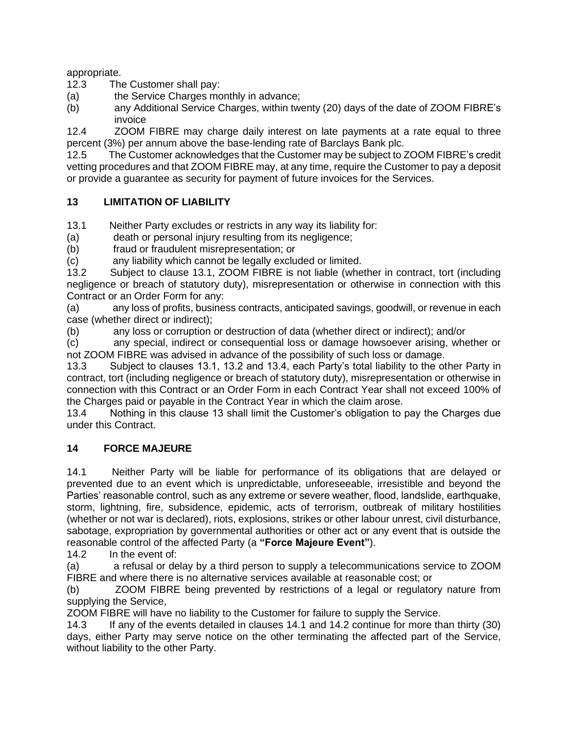appropriate.

12.3 The Customer shall pay:

(a) the Service Charges monthly in advance;

(b) any Additional Service Charges, within twenty (20) days of the date of ZOOM FIBRE's invoice

12.4 ZOOM FIBRE may charge daily interest on late payments at a rate equal to three percent (3%) per annum above the base-lending rate of Barclays Bank plc.

12.5 The Customer acknowledges that the Customer may be subject to ZOOM FIBRE's credit vetting procedures and that ZOOM FIBRE may, at any time, require the Customer to pay a deposit or provide a guarantee as security for payment of future invoices for the Services.

## **13 LIMITATION OF LIABILITY**

13.1 Neither Party excludes or restricts in any way its liability for:

(a) death or personal injury resulting from its negligence;

(b) fraud or fraudulent misrepresentation; or

(c) any liability which cannot be legally excluded or limited.

13.2 Subject to clause 13.1, ZOOM FIBRE is not liable (whether in contract, tort (including negligence or breach of statutory duty), misrepresentation or otherwise in connection with this Contract or an Order Form for any:

(a) any loss of profits, business contracts, anticipated savings, goodwill, or revenue in each case (whether direct or indirect);

(b) any loss or corruption or destruction of data (whether direct or indirect); and/or

(c) any special, indirect or consequential loss or damage howsoever arising, whether or not ZOOM FIBRE was advised in advance of the possibility of such loss or damage.

13.3 Subject to clauses 13.1, 13.2 and 13.4, each Party's total liability to the other Party in contract, tort (including negligence or breach of statutory duty), misrepresentation or otherwise in connection with this Contract or an Order Form in each Contract Year shall not exceed 100% of the Charges paid or payable in the Contract Year in which the claim arose.

13.4 Nothing in this clause 13 shall limit the Customer's obligation to pay the Charges due under this Contract.

#### **14 FORCE MAJEURE**

14.1 Neither Party will be liable for performance of its obligations that are delayed or prevented due to an event which is unpredictable, unforeseeable, irresistible and beyond the Parties' reasonable control, such as any extreme or severe weather, flood, landslide, earthquake, storm, lightning, fire, subsidence, epidemic, acts of terrorism, outbreak of military hostilities (whether or not war is declared), riots, explosions, strikes or other labour unrest, civil disturbance, sabotage, expropriation by governmental authorities or other act or any event that is outside the reasonable control of the affected Party (a **"Force Majeure Event"**).

14.2 In the event of:

(a) a refusal or delay by a third person to supply a telecommunications service to ZOOM FIBRE and where there is no alternative services available at reasonable cost; or

(b) ZOOM FIBRE being prevented by restrictions of a legal or regulatory nature from supplying the Service,

ZOOM FIBRE will have no liability to the Customer for failure to supply the Service.

14.3 If any of the events detailed in clauses 14.1 and 14.2 continue for more than thirty (30) days, either Party may serve notice on the other terminating the affected part of the Service, without liability to the other Party.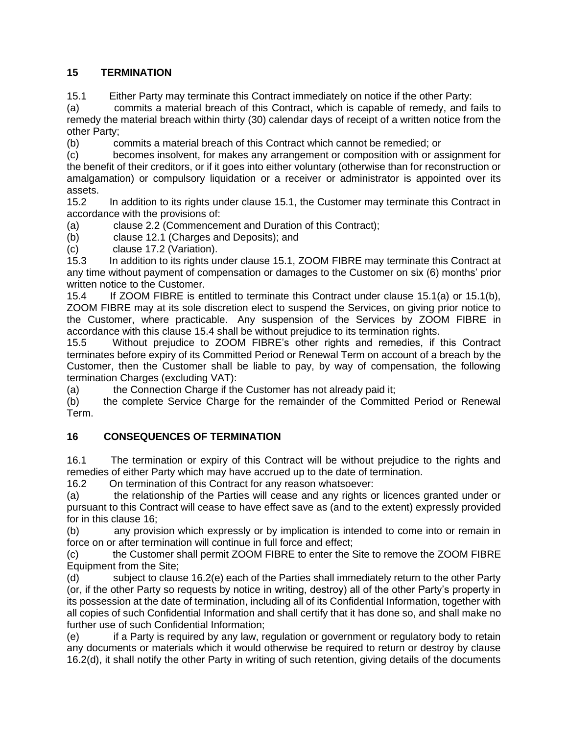## **15 TERMINATION**

15.1 Either Party may terminate this Contract immediately on notice if the other Party:

(a) commits a material breach of this Contract, which is capable of remedy, and fails to remedy the material breach within thirty (30) calendar days of receipt of a written notice from the other Party;

(b) commits a material breach of this Contract which cannot be remedied; or

(c) becomes insolvent, for makes any arrangement or composition with or assignment for the benefit of their creditors, or if it goes into either voluntary (otherwise than for reconstruction or amalgamation) or compulsory liquidation or a receiver or administrator is appointed over its assets.

15.2 In addition to its rights under clause 15.1, the Customer may terminate this Contract in accordance with the provisions of:

(a) clause 2.2 (Commencement and Duration of this Contract);

(b) clause 12.1 (Charges and Deposits); and

(c) clause 17.2 (Variation).

15.3 In addition to its rights under clause 15.1, ZOOM FIBRE may terminate this Contract at any time without payment of compensation or damages to the Customer on six (6) months' prior written notice to the Customer.

15.4 If ZOOM FIBRE is entitled to terminate this Contract under clause 15.1(a) or 15.1(b), ZOOM FIBRE may at its sole discretion elect to suspend the Services, on giving prior notice to the Customer, where practicable. Any suspension of the Services by ZOOM FIBRE in accordance with this clause 15.4 shall be without prejudice to its termination rights.

15.5 Without prejudice to ZOOM FIBRE's other rights and remedies, if this Contract terminates before expiry of its Committed Period or Renewal Term on account of a breach by the Customer, then the Customer shall be liable to pay, by way of compensation, the following termination Charges (excluding VAT):

(a) the Connection Charge if the Customer has not already paid it;

(b) the complete Service Charge for the remainder of the Committed Period or Renewal Term.

## **16 CONSEQUENCES OF TERMINATION**

16.1 The termination or expiry of this Contract will be without prejudice to the rights and remedies of either Party which may have accrued up to the date of termination.

16.2 On termination of this Contract for any reason whatsoever:

(a) the relationship of the Parties will cease and any rights or licences granted under or pursuant to this Contract will cease to have effect save as (and to the extent) expressly provided for in this clause 16;

(b) any provision which expressly or by implication is intended to come into or remain in force on or after termination will continue in full force and effect;

(c) the Customer shall permit ZOOM FIBRE to enter the Site to remove the ZOOM FIBRE Equipment from the Site;

(d) subject to clause 16.2(e) each of the Parties shall immediately return to the other Party (or, if the other Party so requests by notice in writing, destroy) all of the other Party's property in its possession at the date of termination, including all of its Confidential Information, together with all copies of such Confidential Information and shall certify that it has done so, and shall make no further use of such Confidential Information;

(e) if a Party is required by any law, regulation or government or regulatory body to retain any documents or materials which it would otherwise be required to return or destroy by clause 16.2(d), it shall notify the other Party in writing of such retention, giving details of the documents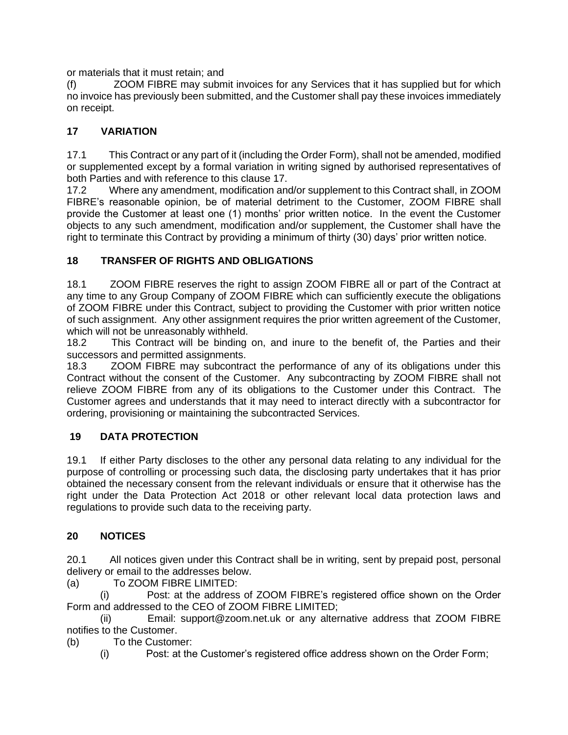or materials that it must retain; and

(f) ZOOM FIBRE may submit invoices for any Services that it has supplied but for which no invoice has previously been submitted, and the Customer shall pay these invoices immediately on receipt.

## **17 VARIATION**

17.1 This Contract or any part of it (including the Order Form), shall not be amended, modified or supplemented except by a formal variation in writing signed by authorised representatives of both Parties and with reference to this clause 17.

17.2 Where any amendment, modification and/or supplement to this Contract shall, in ZOOM FIBRE's reasonable opinion, be of material detriment to the Customer, ZOOM FIBRE shall provide the Customer at least one (1) months' prior written notice. In the event the Customer objects to any such amendment, modification and/or supplement, the Customer shall have the right to terminate this Contract by providing a minimum of thirty (30) days' prior written notice.

## **18 TRANSFER OF RIGHTS AND OBLIGATIONS**

18.1 ZOOM FIBRE reserves the right to assign ZOOM FIBRE all or part of the Contract at any time to any Group Company of ZOOM FIBRE which can sufficiently execute the obligations of ZOOM FIBRE under this Contract, subject to providing the Customer with prior written notice of such assignment. Any other assignment requires the prior written agreement of the Customer, which will not be unreasonably withheld.

18.2 This Contract will be binding on, and inure to the benefit of, the Parties and their successors and permitted assignments.

18.3 ZOOM FIBRE may subcontract the performance of any of its obligations under this Contract without the consent of the Customer. Any subcontracting by ZOOM FIBRE shall not relieve ZOOM FIBRE from any of its obligations to the Customer under this Contract. The Customer agrees and understands that it may need to interact directly with a subcontractor for ordering, provisioning or maintaining the subcontracted Services.

## **19 DATA PROTECTION**

19.1 If either Party discloses to the other any personal data relating to any individual for the purpose of controlling or processing such data, the disclosing party undertakes that it has prior obtained the necessary consent from the relevant individuals or ensure that it otherwise has the right under the Data Protection Act 2018 or other relevant local data protection laws and regulations to provide such data to the receiving party.

## **20 NOTICES**

20.1 All notices given under this Contract shall be in writing, sent by prepaid post, personal delivery or email to the addresses below.

(a) To ZOOM FIBRE LIMITED:

(i) Post: at the address of ZOOM FIBRE's registered office shown on the Order Form and addressed to the CEO of ZOOM FIBRE LIMITED;

(ii) Email: support@zoom.net.uk or any alternative address that ZOOM FIBRE notifies to the Customer.

(b) To the Customer:

(i) Post: at the Customer's registered office address shown on the Order Form;